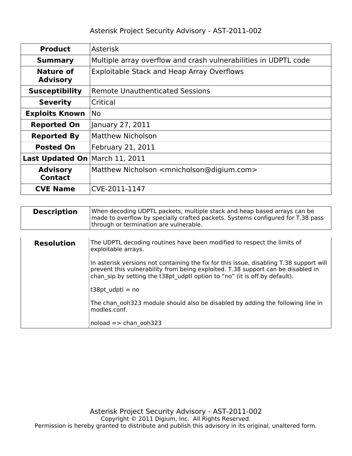| <b>Product</b>                    | <b>Asterisk</b>                                                   |  |  |  |
|-----------------------------------|-------------------------------------------------------------------|--|--|--|
| <b>Summary</b>                    | Multiple array overflow and crash vulnerabilities in UDPTL code   |  |  |  |
| Nature of<br><b>Advisory</b>      | Exploitable Stack and Heap Array Overflows                        |  |  |  |
| <b>Susceptibility</b>             | <b>Remote Unauthenticated Sessions</b>                            |  |  |  |
| <b>Severity</b>                   | Critical                                                          |  |  |  |
| <b>Exploits Known</b>             | <b>No</b>                                                         |  |  |  |
| <b>Reported On</b>                | January 27, 2011                                                  |  |  |  |
| <b>Reported By</b>                | <b>Matthew Nicholson</b>                                          |  |  |  |
| <b>Posted On</b>                  | February 21, 2011                                                 |  |  |  |
| <b>Last Updated On</b>            | March 11, 2011                                                    |  |  |  |
| <b>Advisory</b><br><b>Contact</b> | Matthew Nicholson <mnicholson@digium.com></mnicholson@digium.com> |  |  |  |
| <b>CVE Name</b>                   | CVE-2011-1147                                                     |  |  |  |

| <b>Description</b> | When decoding UDPTL packets, multiple stack and heap based arrays can be<br>made to overflow by specially crafted packets. Systems configured for T.38 pass<br>through or termination are vulnerable. |
|--------------------|-------------------------------------------------------------------------------------------------------------------------------------------------------------------------------------------------------|
|                    |                                                                                                                                                                                                       |

| <b>Resolution</b> | The UDPTL decoding routines have been modified to respect the limits of<br>exploitable arrays.                                                                                                                                                            |
|-------------------|-----------------------------------------------------------------------------------------------------------------------------------------------------------------------------------------------------------------------------------------------------------|
|                   | In asterisk versions not containing the fix for this issue, disabling T.38 support will<br>prevent this vulnerability from being exploited. T.38 support can be disabled in<br>chan sip by setting the t38pt udptl option to "no" (it is off by default). |
|                   | t38pt udpt $l = no$                                                                                                                                                                                                                                       |
|                   | The chan ooh323 module should also be disabled by adding the following line in<br>modles.conf.                                                                                                                                                            |
|                   | $noload \equiv > chan$ ooh323                                                                                                                                                                                                                             |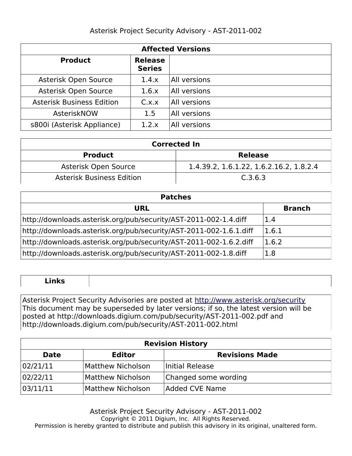| <b>Affected Versions</b>         |                                 |              |  |  |
|----------------------------------|---------------------------------|--------------|--|--|
| <b>Product</b>                   | <b>Release</b><br><b>Series</b> |              |  |  |
| Asterisk Open Source             | 1.4.x                           | All versions |  |  |
| Asterisk Open Source             | 1.6.x                           | All versions |  |  |
| <b>Asterisk Business Edition</b> | C.x.x                           | All versions |  |  |
| AsteriskNOW                      | 1.5                             | All versions |  |  |
| s800i (Asterisk Appliance)       | 1.2.x                           | All versions |  |  |

| <b>Corrected In</b>              |                                         |  |
|----------------------------------|-----------------------------------------|--|
| <b>Product</b>                   | <b>Release</b>                          |  |
| Asterisk Open Source             | 1.4.39.2, 1.6.1.22, 1.6.2.16.2, 1.8.2.4 |  |
| <b>Asterisk Business Edition</b> | C.3.6.3                                 |  |

| <b>Patches</b>                                                     |               |  |
|--------------------------------------------------------------------|---------------|--|
| <b>URL</b>                                                         | <b>Branch</b> |  |
| http://downloads.asterisk.org/pub/security/AST-2011-002-1.4.diff   | 1.4           |  |
| http://downloads.asterisk.org/pub/security/AST-2011-002-1.6.1.diff | 1.6.1         |  |
| http://downloads.asterisk.org/pub/security/AST-2011-002-1.6.2.diff | 1.6.2         |  |
| http://downloads.asterisk.org/pub/security/AST-2011-002-1.8.diff   | 1.8           |  |

Asterisk Project Security Advisories are posted at<http://www.asterisk.org/security> This document may be superseded by later versions; if so, the latest version will be posted at http://downloads.digium.com/pub/security/AST-2011-002.pdf and http://downloads.digium.com/pub/security/AST-2011-002.html

| <b>Revision History</b> |                   |                       |  |  |
|-------------------------|-------------------|-----------------------|--|--|
| <b>Date</b>             | <b>Editor</b>     | <b>Revisions Made</b> |  |  |
| 02/21/11                | Matthew Nicholson | Initial Release       |  |  |
| 02/22/11                | Matthew Nicholson | Changed some wording  |  |  |
| 03/11/11                | Matthew Nicholson | <b>Added CVE Name</b> |  |  |

Asterisk Project Security Advisory - AST-2011-002 Copyright © 2011 Digium, Inc. All Rights Reserved. Permission is hereby granted to distribute and publish this advisory in its original, unaltered form.